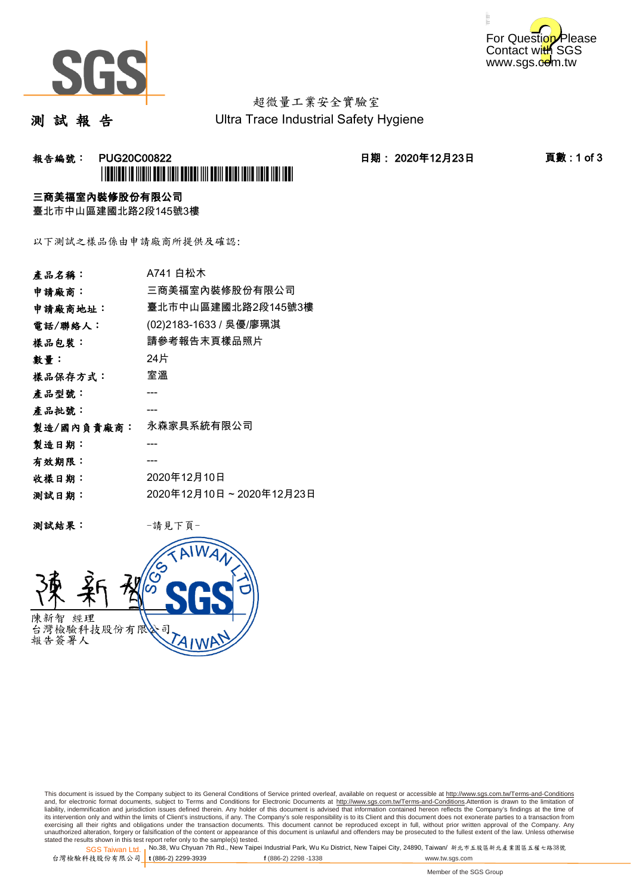



# 超微量工業安全實驗室

測 試 報 告

Ultra Trace Industrial Safety Hygiene

## 報告編號: PUG20C00822 日期: 2020年12月23日 頁數 : 1 of 3 \*PUG20C00822\*

### 三商美福室內裝修股份有限公司

臺北市中山區建國北路2段145號3樓

以下測試之樣品係由申請廠商所提供及確認:

| 產品名稱:      | A741 白松木                |
|------------|-------------------------|
| 申請廠商:      | 三商美福室內裝修股份有限公司          |
| 申請廠商地址:    | 臺北市中山區建國北路2段145號3樓      |
| 電話/聯絡人:    | (02)2183-1633 / 吳優/廖珮淇  |
| 樣品包裝:      | 請參考報告末頁樣品照片             |
| 數量 :       | 24片                     |
| 樣品保存方式:    | 室溫                      |
| 產品型號:      |                         |
| 產品批號:      |                         |
| 製造/國內負責廠商: | 永森家具系統有限公司              |
| 製造日期:      |                         |
| 有效期限:      |                         |
| 收樣日期:      | 2020年12月10日             |
| 测試日期:      | 2020年12月10日~2020年12月23日 |
|            |                         |

测試結果: 一請見下頁



This document is issued by the Company subject to its General Conditions of Service printed overleaf, available on request or accessible at http://www.sgs.com.tw/Terms-and-Conditions and, for electronic format documents, subject to Terms and Conditions for Electronic Documents at <u>http://www.sgs.com.tw/Terms-and-Conditions</u>.Attention is drawn to the limitation of<br>liability, indemnification and jurisdic exercising all their rights and obligations under the transaction documents. This document cannot be reproduced except in full, without prior written approval of the Company. Any<br>unauthorized alteration, forgery or falsifi

SGS Taiwan Ltd. 1 stated the results shown in this test report refer only to the sample(s) tested.<br>Stated the results shown in this test report refer only to the sample(s) tested.

台灣檢驗科技股份有限公司

**t** (886-2) 2299-3939 **f** (886-2) 2298 -1338 www.tw.sgs.com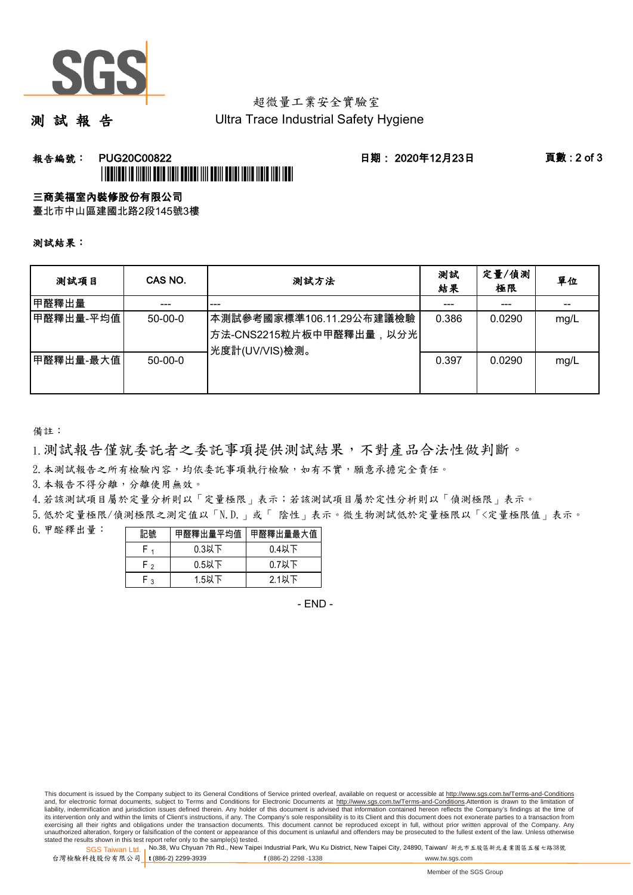

## 超微量工業安全實驗室

測 試 報 告

Ultra Trace Industrial Safety Hygiene

### **報告編號: PUG20C00822 日期: 2020年12月23日 頁數:2 of 3** \*PUG20C00822\*

#### 三商美福室內裝修股份有限公司

臺北市中山區建國北路2段145號3樓

測試結果:

| 测試項目      | CAS NO.   | 测試方法                                                                               | 測試<br>結果 | 定量/偵測<br>極限 | 單位   |
|-----------|-----------|------------------------------------------------------------------------------------|----------|-------------|------|
| 甲醛釋出量     | ---       | ---                                                                                |          | ---         |      |
| 甲醛釋出量-平均值 | $50-00-0$ | 本測試參考國家標準106.11.29公布建議檢驗<br><sup>'</sup> 方法-CNS2215粒片板中甲醛釋出量,以分光<br>光度計(UV/VIS)檢測。 | 0.386    | 0.0290      | mg/L |
| 甲醛釋出量-最大值 | $50-00-0$ |                                                                                    | 0.397    | 0.0290      | mg/L |

備註:

1.測試報告僅就委託者之委託事項提供測試結果,不對產品合法性做判斷。

2.本測試報告之所有檢驗內容,均依委託事項執行檢驗,如有不實,願意承擔完全責任。

3. 本報告不得分離,分離使用無效。

4.若該測試項目屬於定量分析則以「定量極限」表示;若該測試項目屬於定性分析則以「偵測極限」表示。

5.低於定量極限/偵測極限之測定值以「N.D.」或「 陰性」表示。微生物測試低於定量極限以「<定量極限值」表示。

6.甲醛釋出量:

| 記號  | 甲醛釋出量平均值丨 | 甲醛釋出量最大值 |  |  |
|-----|-----------|----------|--|--|
|     | $0.3$ 以下  | $0.4$ 以下 |  |  |
| ه ۲ | $0.5$ 以下  | $0.7$ 以下 |  |  |
| م.  | 1.5以下     | 2.1以下    |  |  |

- END -

This document is issued by the Company subject to its General Conditions of Service printed overleaf, available on request or accessible at http://www.sgs.com.tw/Terms-and-Conditions and, for electronic format documents, subject to Terms and Conditions for Electronic Documents at http://www.sgs.com.tw/Terms-and-Conditions.Attention is drawn to the limitation of liability, indemnification and jurisdiction issues defined therein. Any holder of this document is advised that information contained hereon reflects the Company's findings at the time of<br>its intervention only and within t exercising all their rights and obligations under the transaction documents. This document cannot be reproduced except in full, without prior written approval of the Company. Any<br>unauthorized alteration, forgery or falsifi

SGS Taiwan Ltd. 1 stated the results shown in this test report refer only to the sample(s) tested.<br>Stated the results shown in this test report refer only to the sample(s) tested.

台灣檢驗科技股份有限公司

**t** (886-2) 2299-3939 **f** (886-2) 2298 -1338 www.tw.sgs.com